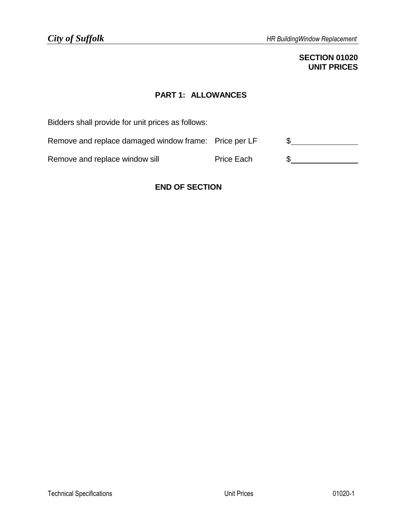## **SECTION 01020 UNIT PRICES**

## **PART 1: ALLOWANCES**

Bidders shall provide for unit prices as follows: Remove and replace damaged window frame: Price per LF \$ Remove and replace window sill example Price Each  $\frac{1}{2}$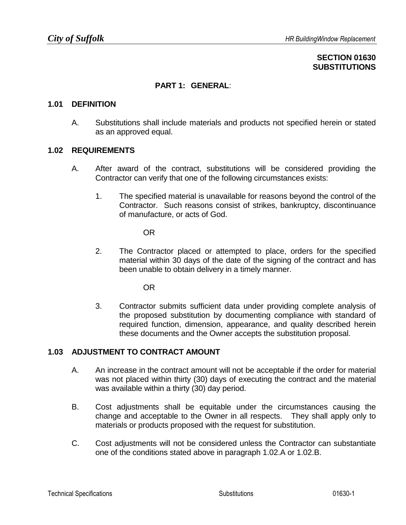## **SECTION 01630 SUBSTITUTIONS**

## **PART 1: GENERAL**:

### **1.01 DEFINITION**

A. Substitutions shall include materials and products not specified herein or stated as an approved equal.

### **1.02 REQUIREMENTS**

- A. After award of the contract, substitutions will be considered providing the Contractor can verify that one of the following circumstances exists:
	- 1. The specified material is unavailable for reasons beyond the control of the Contractor. Such reasons consist of strikes, bankruptcy, discontinuance of manufacture, or acts of God.

OR

2. The Contractor placed or attempted to place, orders for the specified material within 30 days of the date of the signing of the contract and has been unable to obtain delivery in a timely manner.

OR

3. Contractor submits sufficient data under providing complete analysis of the proposed substitution by documenting compliance with standard of required function, dimension, appearance, and quality described herein these documents and the Owner accepts the substitution proposal.

## **1.03 ADJUSTMENT TO CONTRACT AMOUNT**

- A. An increase in the contract amount will not be acceptable if the order for material was not placed within thirty (30) days of executing the contract and the material was available within a thirty (30) day period.
- B. Cost adjustments shall be equitable under the circumstances causing the change and acceptable to the Owner in all respects. They shall apply only to materials or products proposed with the request for substitution.
- C. Cost adjustments will not be considered unless the Contractor can substantiate one of the conditions stated above in paragraph 1.02.A or 1.02.B.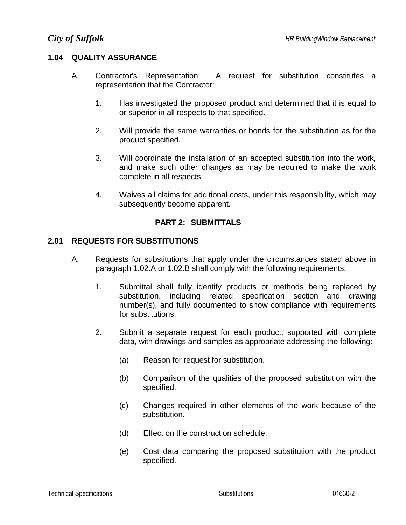## **1.04 QUALITY ASSURANCE**

- A. Contractor's Representation: A request for substitution constitutes a representation that the Contractor:
	- 1. Has investigated the proposed product and determined that it is equal to or superior in all respects to that specified.
	- 2. Will provide the same warranties or bonds for the substitution as for the product specified.
	- 3. Will coordinate the installation of an accepted substitution into the work, and make such other changes as may be required to make the work complete in all respects.
	- 4. Waives all claims for additional costs, under this responsibility, which may subsequently become apparent.

## **PART 2: SUBMITTALS**

## **2.01 REQUESTS FOR SUBSTITUTIONS**

- A. Requests for substitutions that apply under the circumstances stated above in paragraph 1.02.A or 1.02.B shall comply with the following requirements.
	- 1. Submittal shall fully identify products or methods being replaced by substitution, including related specification section and drawing number(s), and fully documented to show compliance with requirements for substitutions.
	- 2. Submit a separate request for each product, supported with complete data, with drawings and samples as appropriate addressing the following:
		- (a) Reason for request for substitution.
		- (b) Comparison of the qualities of the proposed substitution with the specified.
		- (c) Changes required in other elements of the work because of the substitution.
		- (d) Effect on the construction schedule.
		- (e) Cost data comparing the proposed substitution with the product specified.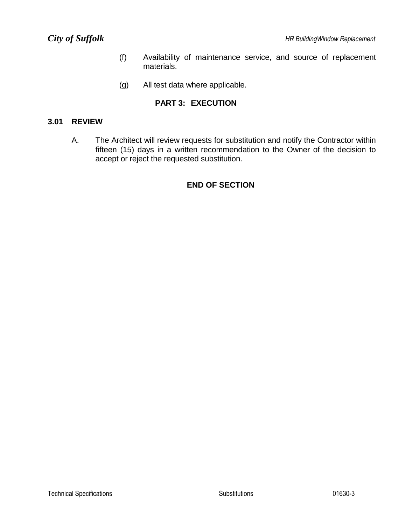- (f) Availability of maintenance service, and source of replacement materials.
- (g) All test data where applicable.

## **PART 3: EXECUTION**

### **3.01 REVIEW**

A. The Architect will review requests for substitution and notify the Contractor within fifteen (15) days in a written recommendation to the Owner of the decision to accept or reject the requested substitution.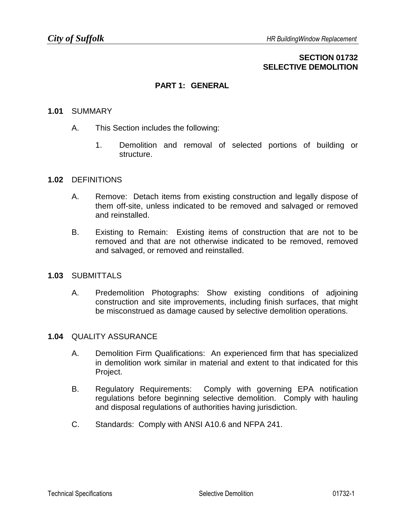## **SECTION 01732 SELECTIVE DEMOLITION**

## **PART 1: GENERAL**

### **1.01** SUMMARY

- A. This Section includes the following:
	- 1. Demolition and removal of selected portions of building or structure.

### **1.02** DEFINITIONS

- A. Remove: Detach items from existing construction and legally dispose of them off-site, unless indicated to be removed and salvaged or removed and reinstalled.
- B. Existing to Remain: Existing items of construction that are not to be removed and that are not otherwise indicated to be removed, removed and salvaged, or removed and reinstalled.

### **1.03** SUBMITTALS

A. Predemolition Photographs: Show existing conditions of adjoining construction and site improvements, including finish surfaces, that might be misconstrued as damage caused by selective demolition operations.

### **1.04** QUALITY ASSURANCE

- A. Demolition Firm Qualifications: An experienced firm that has specialized in demolition work similar in material and extent to that indicated for this Project.
- B. Regulatory Requirements: Comply with governing EPA notification regulations before beginning selective demolition. Comply with hauling and disposal regulations of authorities having jurisdiction.
- C. Standards: Comply with ANSI A10.6 and NFPA 241.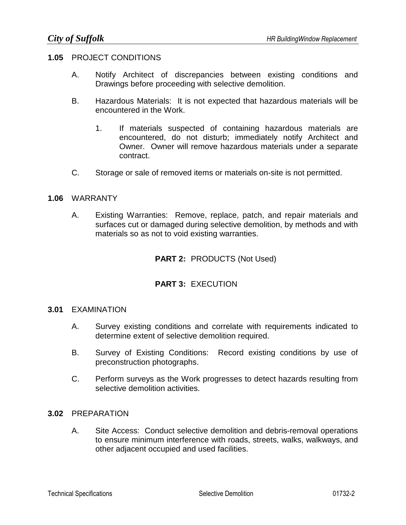### **1.05** PROJECT CONDITIONS

- A. Notify Architect of discrepancies between existing conditions and Drawings before proceeding with selective demolition.
- B. Hazardous Materials: It is not expected that hazardous materials will be encountered in the Work.
	- 1. If materials suspected of containing hazardous materials are encountered, do not disturb; immediately notify Architect and Owner. Owner will remove hazardous materials under a separate contract.
- C. Storage or sale of removed items or materials on-site is not permitted.

### **1.06** WARRANTY

A. Existing Warranties: Remove, replace, patch, and repair materials and surfaces cut or damaged during selective demolition, by methods and with materials so as not to void existing warranties.

## **PART 2:** PRODUCTS (Not Used)

## **PART 3:** EXECUTION

### **3.01** EXAMINATION

- A. Survey existing conditions and correlate with requirements indicated to determine extent of selective demolition required.
- B. Survey of Existing Conditions: Record existing conditions by use of preconstruction photographs.
- C. Perform surveys as the Work progresses to detect hazards resulting from selective demolition activities.

### **3.02** PREPARATION

A. Site Access: Conduct selective demolition and debris-removal operations to ensure minimum interference with roads, streets, walks, walkways, and other adjacent occupied and used facilities.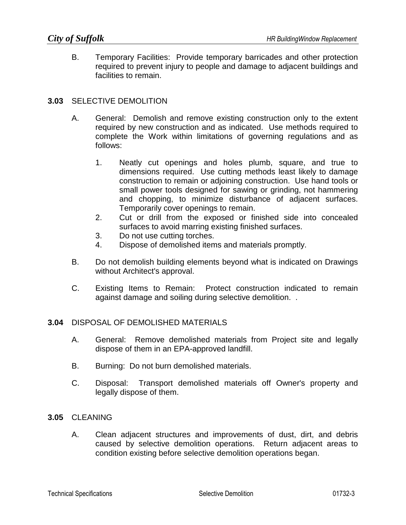B. Temporary Facilities: Provide temporary barricades and other protection required to prevent injury to people and damage to adjacent buildings and facilities to remain.

## **3.03** SELECTIVE DEMOLITION

- A. General: Demolish and remove existing construction only to the extent required by new construction and as indicated. Use methods required to complete the Work within limitations of governing regulations and as follows:
	- 1. Neatly cut openings and holes plumb, square, and true to dimensions required. Use cutting methods least likely to damage construction to remain or adjoining construction. Use hand tools or small power tools designed for sawing or grinding, not hammering and chopping, to minimize disturbance of adjacent surfaces. Temporarily cover openings to remain.
	- 2. Cut or drill from the exposed or finished side into concealed surfaces to avoid marring existing finished surfaces.
	- 3. Do not use cutting torches.
	- 4. Dispose of demolished items and materials promptly.
- B. Do not demolish building elements beyond what is indicated on Drawings without Architect's approval.
- C. Existing Items to Remain: Protect construction indicated to remain against damage and soiling during selective demolition. .

### **3.04** DISPOSAL OF DEMOLISHED MATERIALS

- A. General: Remove demolished materials from Project site and legally dispose of them in an EPA-approved landfill.
- B. Burning: Do not burn demolished materials.
- C. Disposal: Transport demolished materials off Owner's property and legally dispose of them.

### **3.05** CLEANING

A. Clean adjacent structures and improvements of dust, dirt, and debris caused by selective demolition operations. Return adjacent areas to condition existing before selective demolition operations began.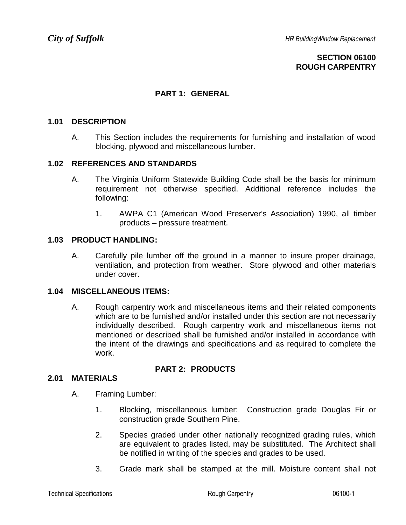## **SECTION 06100 ROUGH CARPENTRY**

## **PART 1: GENERAL**

### **1.01 DESCRIPTION**

A. This Section includes the requirements for furnishing and installation of wood blocking, plywood and miscellaneous lumber.

### **1.02 REFERENCES AND STANDARDS**

- A. The Virginia Uniform Statewide Building Code shall be the basis for minimum requirement not otherwise specified. Additional reference includes the following:
	- 1. AWPA C1 (American Wood Preserver's Association) 1990, all timber products – pressure treatment.

### **1.03 PRODUCT HANDLING:**

A. Carefully pile lumber off the ground in a manner to insure proper drainage, ventilation, and protection from weather. Store plywood and other materials under cover.

### **1.04 MISCELLANEOUS ITEMS:**

A. Rough carpentry work and miscellaneous items and their related components which are to be furnished and/or installed under this section are not necessarily individually described. Rough carpentry work and miscellaneous items not mentioned or described shall be furnished and/or installed in accordance with the intent of the drawings and specifications and as required to complete the work.

## **PART 2: PRODUCTS**

### **2.01 MATERIALS**

- A. Framing Lumber:
	- 1. Blocking, miscellaneous lumber: Construction grade Douglas Fir or construction grade Southern Pine.
	- 2. Species graded under other nationally recognized grading rules, which are equivalent to grades listed, may be substituted. The Architect shall be notified in writing of the species and grades to be used.
	- 3. Grade mark shall be stamped at the mill. Moisture content shall not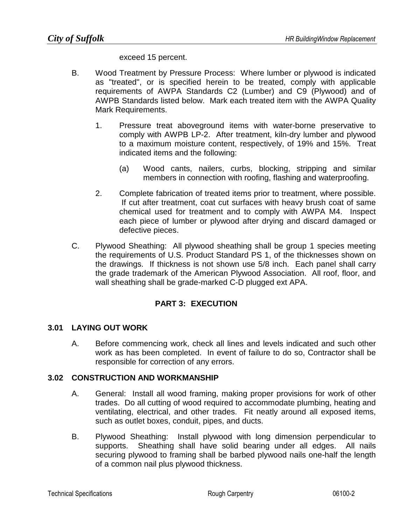exceed 15 percent.

- B. Wood Treatment by Pressure Process: Where lumber or plywood is indicated as "treated", or is specified herein to be treated, comply with applicable requirements of AWPA Standards C2 (Lumber) and C9 (Plywood) and of AWPB Standards listed below. Mark each treated item with the AWPA Quality Mark Requirements.
	- 1. Pressure treat aboveground items with water-borne preservative to comply with AWPB LP-2. After treatment, kiln-dry lumber and plywood to a maximum moisture content, respectively, of 19% and 15%. Treat indicated items and the following:
		- (a) Wood cants, nailers, curbs, blocking, stripping and similar members in connection with roofing, flashing and waterproofing.
	- 2. Complete fabrication of treated items prior to treatment, where possible. If cut after treatment, coat cut surfaces with heavy brush coat of same chemical used for treatment and to comply with AWPA M4. Inspect each piece of lumber or plywood after drying and discard damaged or defective pieces.
- C. Plywood Sheathing: All plywood sheathing shall be group 1 species meeting the requirements of U.S. Product Standard PS 1, of the thicknesses shown on the drawings. If thickness is not shown use 5/8 inch. Each panel shall carry the grade trademark of the American Plywood Association. All roof, floor, and wall sheathing shall be grade-marked C-D plugged ext APA.

## **PART 3: EXECUTION**

## **3.01 LAYING OUT WORK**

A. Before commencing work, check all lines and levels indicated and such other work as has been completed. In event of failure to do so, Contractor shall be responsible for correction of any errors.

## **3.02 CONSTRUCTION AND WORKMANSHIP**

- A. General: Install all wood framing, making proper provisions for work of other trades. Do all cutting of wood required to accommodate plumbing, heating and ventilating, electrical, and other trades. Fit neatly around all exposed items, such as outlet boxes, conduit, pipes, and ducts.
- B. Plywood Sheathing: Install plywood with long dimension perpendicular to supports. Sheathing shall have solid bearing under all edges. All nails securing plywood to framing shall be barbed plywood nails one-half the length of a common nail plus plywood thickness.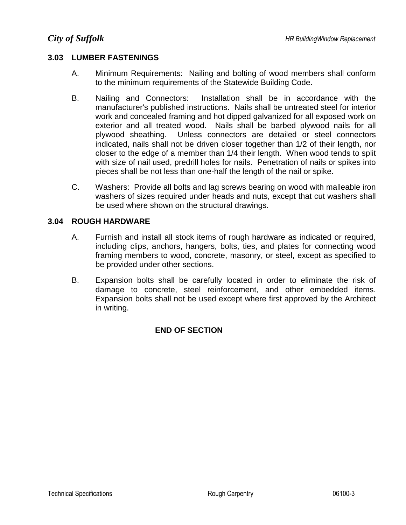## **3.03 LUMBER FASTENINGS**

- A. Minimum Requirements: Nailing and bolting of wood members shall conform to the minimum requirements of the Statewide Building Code.
- B. Nailing and Connectors: Installation shall be in accordance with the manufacturer's published instructions. Nails shall be untreated steel for interior work and concealed framing and hot dipped galvanized for all exposed work on exterior and all treated wood. Nails shall be barbed plywood nails for all plywood sheathing. Unless connectors are detailed or steel connectors indicated, nails shall not be driven closer together than 1/2 of their length, nor closer to the edge of a member than 1/4 their length. When wood tends to split with size of nail used, predrill holes for nails. Penetration of nails or spikes into pieces shall be not less than one-half the length of the nail or spike.
- C. Washers: Provide all bolts and lag screws bearing on wood with malleable iron washers of sizes required under heads and nuts, except that cut washers shall be used where shown on the structural drawings.

## **3.04 ROUGH HARDWARE**

- A. Furnish and install all stock items of rough hardware as indicated or required, including clips, anchors, hangers, bolts, ties, and plates for connecting wood framing members to wood, concrete, masonry, or steel, except as specified to be provided under other sections.
- B. Expansion bolts shall be carefully located in order to eliminate the risk of damage to concrete, steel reinforcement, and other embedded items. Expansion bolts shall not be used except where first approved by the Architect in writing.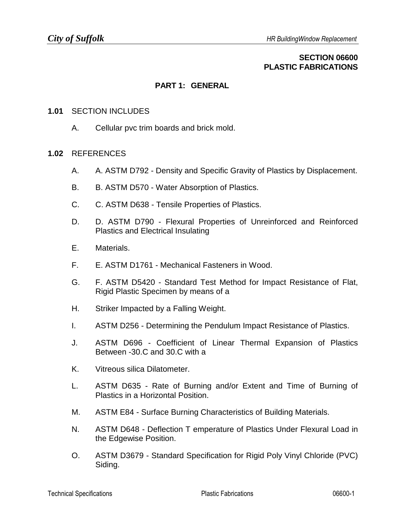## **SECTION 06600 PLASTIC FABRICATIONS**

## **PART 1: GENERAL**

### **1.01** SECTION INCLUDES

A. Cellular pvc trim boards and brick mold.

### **1.02** REFERENCES

- A. A. ASTM D792 Density and Specific Gravity of Plastics by Displacement.
- B. B. ASTM D570 Water Absorption of Plastics.
- C. C. ASTM D638 Tensile Properties of Plastics.
- D. D. ASTM D790 Flexural Properties of Unreinforced and Reinforced Plastics and Electrical Insulating
- E. Materials.
- F. E. ASTM D1761 Mechanical Fasteners in Wood.
- G. F. ASTM D5420 Standard Test Method for Impact Resistance of Flat, Rigid Plastic Specimen by means of a
- H. Striker Impacted by a Falling Weight.
- I. ASTM D256 Determining the Pendulum Impact Resistance of Plastics.
- J. ASTM D696 Coefficient of Linear Thermal Expansion of Plastics Between -30.C and 30.C with a
- K. Vitreous silica Dilatometer.
- L. ASTM D635 Rate of Burning and/or Extent and Time of Burning of Plastics in a Horizontal Position.
- M. ASTM E84 Surface Burning Characteristics of Building Materials.
- N. ASTM D648 Deflection T emperature of Plastics Under Flexural Load in the Edgewise Position.
- O. ASTM D3679 Standard Specification for Rigid Poly Vinyl Chloride (PVC) Siding.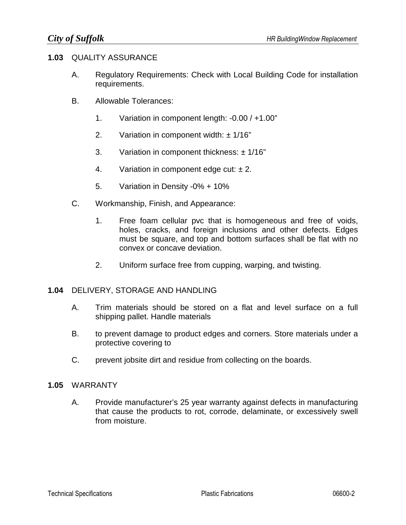### **1.03** QUALITY ASSURANCE

- A. Regulatory Requirements: Check with Local Building Code for installation requirements.
- B. Allowable Tolerances:
	- 1. Variation in component length: -0.00 / +1.00"
	- 2. Variation in component width:  $\pm$  1/16"
	- 3. Variation in component thickness:  $\pm$  1/16"
	- 4. Variation in component edge cut:  $\pm 2$ .
	- 5. Variation in Density -0% + 10%
- C. Workmanship, Finish, and Appearance:
	- 1. Free foam cellular pvc that is homogeneous and free of voids, holes, cracks, and foreign inclusions and other defects. Edges must be square, and top and bottom surfaces shall be flat with no convex or concave deviation.
	- 2. Uniform surface free from cupping, warping, and twisting.

### **1.04** DELIVERY, STORAGE AND HANDLING

- A. Trim materials should be stored on a flat and level surface on a full shipping pallet. Handle materials
- B. to prevent damage to product edges and corners. Store materials under a protective covering to
- C. prevent jobsite dirt and residue from collecting on the boards.

#### **1.05** WARRANTY

A. Provide manufacturer's 25 year warranty against defects in manufacturing that cause the products to rot, corrode, delaminate, or excessively swell from moisture.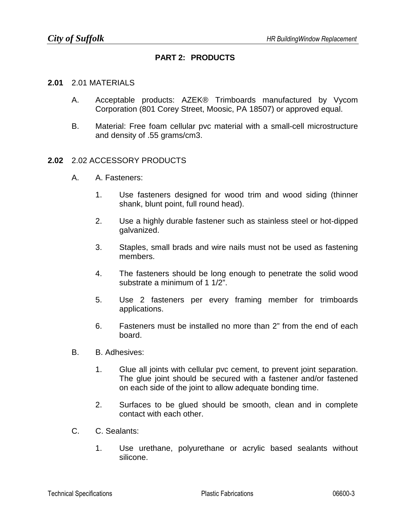## **PART 2: PRODUCTS**

#### **2.01** 2.01 MATERIALS

- A. Acceptable products: AZEK® Trimboards manufactured by Vycom Corporation (801 Corey Street, Moosic, PA 18507) or approved equal.
- B. Material: Free foam cellular pvc material with a small-cell microstructure and density of .55 grams/cm3.

### **2.02** 2.02 ACCESSORY PRODUCTS

- A. A. Fasteners:
	- 1. Use fasteners designed for wood trim and wood siding (thinner shank, blunt point, full round head).
	- 2. Use a highly durable fastener such as stainless steel or hot-dipped galvanized.
	- 3. Staples, small brads and wire nails must not be used as fastening members.
	- 4. The fasteners should be long enough to penetrate the solid wood substrate a minimum of 1 1/2".
	- 5. Use 2 fasteners per every framing member for trimboards applications.
	- 6. Fasteners must be installed no more than 2" from the end of each board.
- B. B. Adhesives:
	- 1. Glue all joints with cellular pvc cement, to prevent joint separation. The glue joint should be secured with a fastener and/or fastened on each side of the joint to allow adequate bonding time.
	- 2. Surfaces to be glued should be smooth, clean and in complete contact with each other.
- C. C. Sealants:
	- 1. Use urethane, polyurethane or acrylic based sealants without silicone.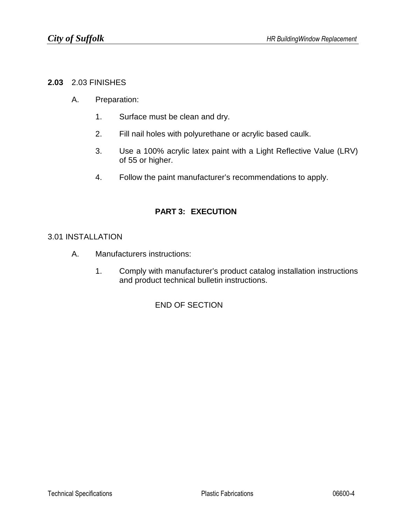### **2.03** 2.03 FINISHES

- A. Preparation:
	- 1. Surface must be clean and dry.
	- 2. Fill nail holes with polyurethane or acrylic based caulk.
	- 3. Use a 100% acrylic latex paint with a Light Reflective Value (LRV) of 55 or higher.
	- 4. Follow the paint manufacturer's recommendations to apply.

## **PART 3: EXECUTION**

### 3.01 INSTALLATION

- A. Manufacturers instructions:
	- 1. Comply with manufacturer's product catalog installation instructions and product technical bulletin instructions.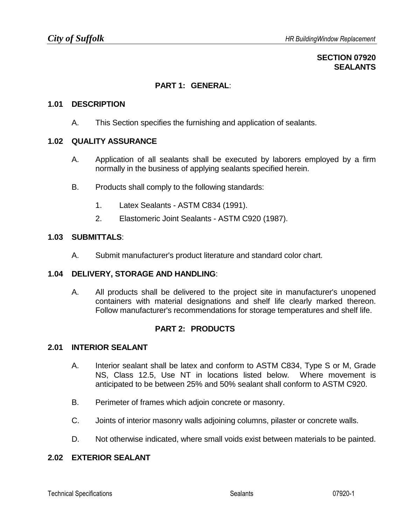## **SECTION 07920 SEALANTS**

## **PART 1: GENERAL**:

### **1.01 DESCRIPTION**

A. This Section specifies the furnishing and application of sealants.

### **1.02 QUALITY ASSURANCE**

- A. Application of all sealants shall be executed by laborers employed by a firm normally in the business of applying sealants specified herein.
- B. Products shall comply to the following standards:
	- 1. Latex Sealants ASTM C834 (1991).
	- 2. Elastomeric Joint Sealants ASTM C920 (1987).

### **1.03 SUBMITTALS**:

A. Submit manufacturer's product literature and standard color chart.

### **1.04 DELIVERY, STORAGE AND HANDLING**:

A. All products shall be delivered to the project site in manufacturer's unopened containers with material designations and shelf life clearly marked thereon. Follow manufacturer's recommendations for storage temperatures and shelf life.

## **PART 2: PRODUCTS**

## **2.01 INTERIOR SEALANT**

- A. Interior sealant shall be latex and conform to ASTM C834, Type S or M, Grade NS, Class 12.5, Use NT in locations listed below. Where movement is anticipated to be between 25% and 50% sealant shall conform to ASTM C920.
- B. Perimeter of frames which adjoin concrete or masonry.
- C. Joints of interior masonry walls adjoining columns, pilaster or concrete walls.
- D. Not otherwise indicated, where small voids exist between materials to be painted.

## **2.02 EXTERIOR SEALANT**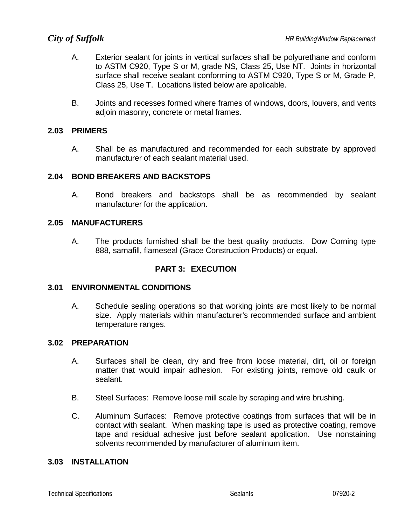- A. Exterior sealant for joints in vertical surfaces shall be polyurethane and conform to ASTM C920, Type S or M, grade NS, Class 25, Use NT. Joints in horizontal surface shall receive sealant conforming to ASTM C920, Type S or M, Grade P, Class 25, Use T. Locations listed below are applicable.
- B. Joints and recesses formed where frames of windows, doors, louvers, and vents adjoin masonry, concrete or metal frames.

## **2.03 PRIMERS**

A. Shall be as manufactured and recommended for each substrate by approved manufacturer of each sealant material used.

## **2.04 BOND BREAKERS AND BACKSTOPS**

A. Bond breakers and backstops shall be as recommended by sealant manufacturer for the application.

### **2.05 MANUFACTURERS**

A. The products furnished shall be the best quality products. Dow Corning type 888, sarnafill, flameseal (Grace Construction Products) or equal.

## **PART 3: EXECUTION**

### **3.01 ENVIRONMENTAL CONDITIONS**

A. Schedule sealing operations so that working joints are most likely to be normal size. Apply materials within manufacturer's recommended surface and ambient temperature ranges.

### **3.02 PREPARATION**

- A. Surfaces shall be clean, dry and free from loose material, dirt, oil or foreign matter that would impair adhesion. For existing joints, remove old caulk or sealant.
- B. Steel Surfaces: Remove loose mill scale by scraping and wire brushing.
- C. Aluminum Surfaces: Remove protective coatings from surfaces that will be in contact with sealant. When masking tape is used as protective coating, remove tape and residual adhesive just before sealant application. Use nonstaining solvents recommended by manufacturer of aluminum item.

### **3.03 INSTALLATION**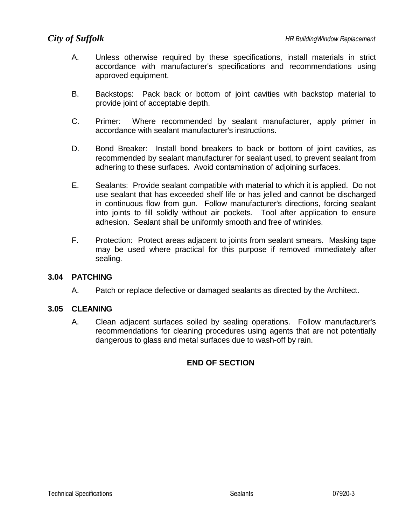- A. Unless otherwise required by these specifications, install materials in strict accordance with manufacturer's specifications and recommendations using approved equipment.
- B. Backstops: Pack back or bottom of joint cavities with backstop material to provide joint of acceptable depth.
- C. Primer: Where recommended by sealant manufacturer, apply primer in accordance with sealant manufacturer's instructions.
- D. Bond Breaker: Install bond breakers to back or bottom of joint cavities, as recommended by sealant manufacturer for sealant used, to prevent sealant from adhering to these surfaces. Avoid contamination of adjoining surfaces.
- E. Sealants: Provide sealant compatible with material to which it is applied. Do not use sealant that has exceeded shelf life or has jelled and cannot be discharged in continuous flow from gun. Follow manufacturer's directions, forcing sealant into joints to fill solidly without air pockets. Tool after application to ensure adhesion. Sealant shall be uniformly smooth and free of wrinkles.
- F. Protection: Protect areas adjacent to joints from sealant smears. Masking tape may be used where practical for this purpose if removed immediately after sealing.

## **3.04 PATCHING**

A. Patch or replace defective or damaged sealants as directed by the Architect.

## **3.05 CLEANING**

A. Clean adjacent surfaces soiled by sealing operations. Follow manufacturer's recommendations for cleaning procedures using agents that are not potentially dangerous to glass and metal surfaces due to wash-off by rain.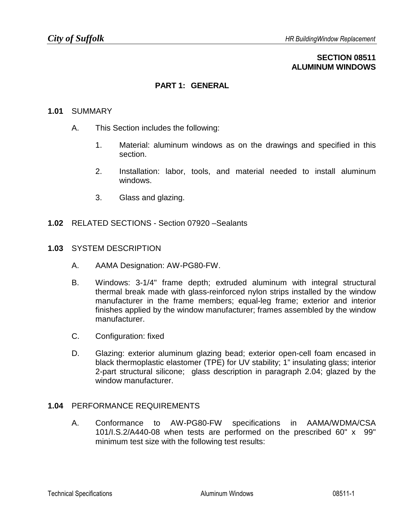## **SECTION 08511 ALUMINUM WINDOWS**

## **PART 1: GENERAL**

### **1.01** SUMMARY

- A. This Section includes the following:
	- 1. Material: aluminum windows as on the drawings and specified in this section.
	- 2. Installation: labor, tools, and material needed to install aluminum windows.
	- 3. Glass and glazing.
- **1.02** RELATED SECTIONS Section 07920 –Sealants

#### **1.03** SYSTEM DESCRIPTION

- A. AAMA Designation: AW-PG80-FW.
- B. Windows: 3-1/4" frame depth; extruded aluminum with integral structural thermal break made with glass-reinforced nylon strips installed by the window manufacturer in the frame members; equal-leg frame; exterior and interior finishes applied by the window manufacturer; frames assembled by the window manufacturer.
- C. Configuration: fixed
- D. Glazing: exterior aluminum glazing bead; exterior open-cell foam encased in black thermoplastic elastomer (TPE) for UV stability; 1" insulating glass; interior 2-part structural silicone; glass description in paragraph 2.04; glazed by the window manufacturer

### **1.04** PERFORMANCE REQUIREMENTS

A. Conformance to AW-PG80-FW specifications in AAMA/WDMA/CSA 101/I.S.2/A440-08 when tests are performed on the prescribed 60" x 99" minimum test size with the following test results: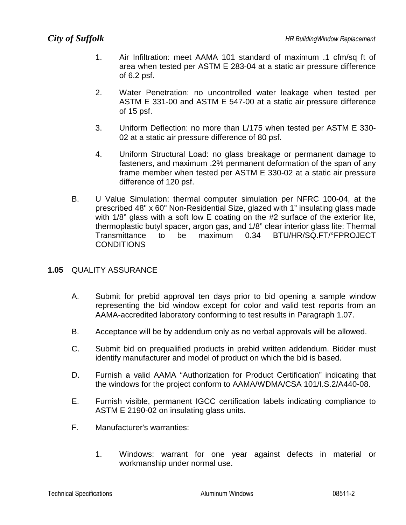- 1. Air Infiltration: meet AAMA 101 standard of maximum .1 cfm/sq ft of area when tested per ASTM E 283-04 at a static air pressure difference of 6.2 psf.
- 2. Water Penetration: no uncontrolled water leakage when tested per ASTM E 331-00 and ASTM E 547-00 at a static air pressure difference of 15 psf.
- 3. Uniform Deflection: no more than L/175 when tested per ASTM E 330- 02 at a static air pressure difference of 80 psf.
- 4. Uniform Structural Load: no glass breakage or permanent damage to fasteners, and maximum .2% permanent deformation of the span of any frame member when tested per ASTM E 330-02 at a static air pressure difference of 120 psf.
- B. U Value Simulation: thermal computer simulation per NFRC 100-04, at the prescribed 48" x 60" Non-Residential Size, glazed with 1" insulating glass made with 1/8" glass with a soft low E coating on the #2 surface of the exterior lite, thermoplastic butyl spacer, argon gas, and 1/8" clear interior glass lite: Thermal Transmittance to be maximum 0.34 BTU/HR/SQ.FT/°FPROJECT **CONDITIONS**

## **1.05** QUALITY ASSURANCE

- A. Submit for prebid approval ten days prior to bid opening a sample window representing the bid window except for color and valid test reports from an AAMA-accredited laboratory conforming to test results in Paragraph 1.07.
- B. Acceptance will be by addendum only as no verbal approvals will be allowed.
- C. Submit bid on prequalified products in prebid written addendum. Bidder must identify manufacturer and model of product on which the bid is based.
- D. Furnish a valid AAMA "Authorization for Product Certification" indicating that the windows for the project conform to AAMA/WDMA/CSA 101/I.S.2/A440-08.
- E. Furnish visible, permanent IGCC certification labels indicating compliance to ASTM E 2190-02 on insulating glass units.
- F. Manufacturer's warranties:
	- 1. Windows: warrant for one year against defects in material or workmanship under normal use.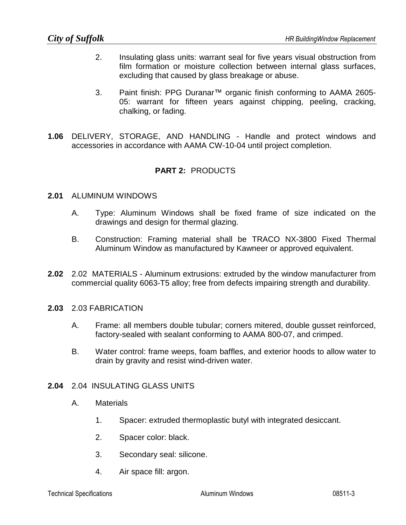- 2. Insulating glass units: warrant seal for five years visual obstruction from film formation or moisture collection between internal glass surfaces, excluding that caused by glass breakage or abuse.
- 3. Paint finish: PPG Duranar™ organic finish conforming to AAMA 2605- 05: warrant for fifteen years against chipping, peeling, cracking, chalking, or fading.
- **1.06** DELIVERY, STORAGE, AND HANDLING Handle and protect windows and accessories in accordance with AAMA CW-10-04 until project completion.

## **PART 2:** PRODUCTS

### **2.01** ALUMINUM WINDOWS

- A. Type: Aluminum Windows shall be fixed frame of size indicated on the drawings and design for thermal glazing.
- B. Construction: Framing material shall be TRACO NX-3800 Fixed Thermal Aluminum Window as manufactured by Kawneer or approved equivalent.
- **2.02** 2.02 MATERIALS Aluminum extrusions: extruded by the window manufacturer from commercial quality 6063-T5 alloy; free from defects impairing strength and durability.
- **2.03** 2.03 FABRICATION
	- A. Frame: all members double tubular; corners mitered, double gusset reinforced, factory-sealed with sealant conforming to AAMA 800-07, and crimped.
	- B. Water control: frame weeps, foam baffles, and exterior hoods to allow water to drain by gravity and resist wind-driven water.

### **2.04** 2.04 INSULATING GLASS UNITS

- A. Materials
	- 1. Spacer: extruded thermoplastic butyl with integrated desiccant.
	- 2. Spacer color: black.
	- 3. Secondary seal: silicone.
	- 4. Air space fill: argon.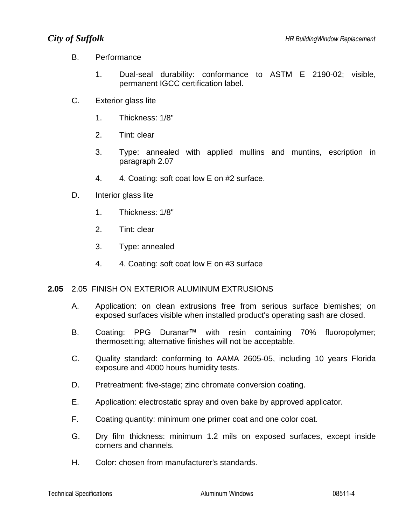## B. Performance

- 1. Dual-seal durability: conformance to ASTM E 2190-02; visible, permanent IGCC certification label.
- C. Exterior glass lite
	- 1. Thickness: 1/8"
	- 2. Tint: clear
	- 3. Type: annealed with applied mullins and muntins, escription in paragraph 2.07
	- 4. 4. Coating: soft coat low E on #2 surface.
- D. Interior glass lite
	- 1. Thickness: 1/8"
	- 2. Tint: clear
	- 3. Type: annealed
	- 4. 4. Coating: soft coat low E on #3 surface

## **2.05** 2.05 FINISH ON EXTERIOR ALUMINUM EXTRUSIONS

- A. Application: on clean extrusions free from serious surface blemishes; on exposed surfaces visible when installed product's operating sash are closed.
- B. Coating: PPG Duranar™ with resin containing 70% fluoropolymer; thermosetting; alternative finishes will not be acceptable.
- C. Quality standard: conforming to AAMA 2605-05, including 10 years Florida exposure and 4000 hours humidity tests.
- D. Pretreatment: five-stage; zinc chromate conversion coating.
- E. Application: electrostatic spray and oven bake by approved applicator.
- F. Coating quantity: minimum one primer coat and one color coat.
- G. Dry film thickness: minimum 1.2 mils on exposed surfaces, except inside corners and channels.
- H. Color: chosen from manufacturer's standards.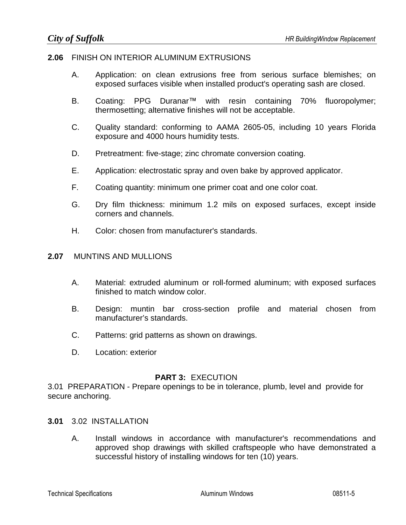## **2.06** FINISH ON INTERIOR ALUMINUM EXTRUSIONS

- A. Application: on clean extrusions free from serious surface blemishes; on exposed surfaces visible when installed product's operating sash are closed.
- B. Coating: PPG Duranar™ with resin containing 70% fluoropolymer; thermosetting; alternative finishes will not be acceptable.
- C. Quality standard: conforming to AAMA 2605-05, including 10 years Florida exposure and 4000 hours humidity tests.
- D. Pretreatment: five-stage; zinc chromate conversion coating.
- E. Application: electrostatic spray and oven bake by approved applicator.
- F. Coating quantity: minimum one primer coat and one color coat.
- G. Dry film thickness: minimum 1.2 mils on exposed surfaces, except inside corners and channels.
- H. Color: chosen from manufacturer's standards.

### **2.07** MUNTINS AND MULLIONS

- A. Material: extruded aluminum or roll-formed aluminum; with exposed surfaces finished to match window color.
- B. Design: muntin bar cross-section profile and material chosen from manufacturer's standards.
- C. Patterns: grid patterns as shown on drawings.
- D. Location: exterior

### **PART 3:** EXECUTION

3.01 PREPARATION - Prepare openings to be in tolerance, plumb, level and provide for secure anchoring.

### **3.01** 3.02 INSTALLATION

A. Install windows in accordance with manufacturer's recommendations and approved shop drawings with skilled craftspeople who have demonstrated a successful history of installing windows for ten (10) years.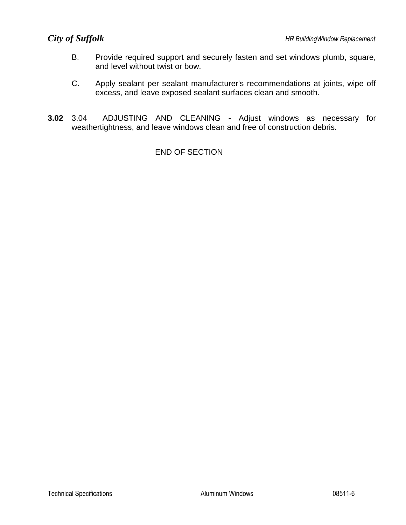- B. Provide required support and securely fasten and set windows plumb, square, and level without twist or bow.
- C. Apply sealant per sealant manufacturer's recommendations at joints, wipe off excess, and leave exposed sealant surfaces clean and smooth.
- **3.02** 3.04 ADJUSTING AND CLEANING Adjust windows as necessary for weathertightness, and leave windows clean and free of construction debris.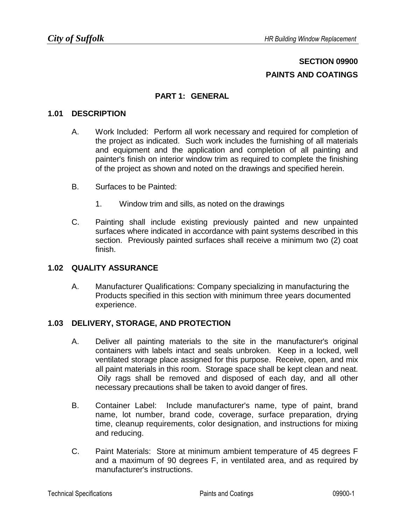# **SECTION 09900 PAINTS AND COATINGS**

## **PART 1: GENERAL**

## **1.01 DESCRIPTION**

- A. Work Included: Perform all work necessary and required for completion of the project as indicated. Such work includes the furnishing of all materials and equipment and the application and completion of all painting and painter's finish on interior window trim as required to complete the finishing of the project as shown and noted on the drawings and specified herein.
- B. Surfaces to be Painted:
	- 1. Window trim and sills, as noted on the drawings
- C. Painting shall include existing previously painted and new unpainted surfaces where indicated in accordance with paint systems described in this section. Previously painted surfaces shall receive a minimum two (2) coat finish.

### **1.02 QUALITY ASSURANCE**

A. Manufacturer Qualifications: Company specializing in manufacturing the Products specified in this section with minimum three years documented experience.

## **1.03 DELIVERY, STORAGE, AND PROTECTION**

- A. Deliver all painting materials to the site in the manufacturer's original containers with labels intact and seals unbroken. Keep in a locked, well ventilated storage place assigned for this purpose. Receive, open, and mix all paint materials in this room. Storage space shall be kept clean and neat. Oily rags shall be removed and disposed of each day, and all other necessary precautions shall be taken to avoid danger of fires.
- B. Container Label: Include manufacturer's name, type of paint, brand name, lot number, brand code, coverage, surface preparation, drying time, cleanup requirements, color designation, and instructions for mixing and reducing.
- C. Paint Materials: Store at minimum ambient temperature of 45 degrees F and a maximum of 90 degrees F, in ventilated area, and as required by manufacturer's instructions.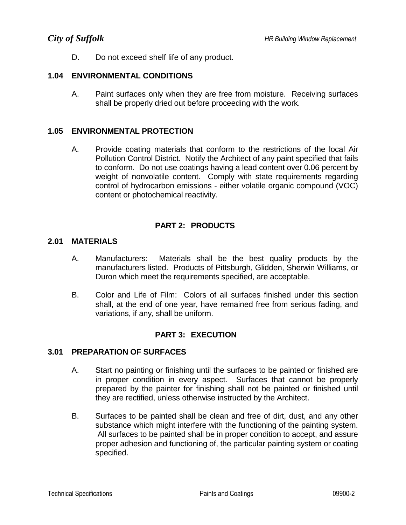D. Do not exceed shelf life of any product.

## **1.04 ENVIRONMENTAL CONDITIONS**

A. Paint surfaces only when they are free from moisture. Receiving surfaces shall be properly dried out before proceeding with the work.

### **1.05 ENVIRONMENTAL PROTECTION**

A. Provide coating materials that conform to the restrictions of the local Air Pollution Control District. Notify the Architect of any paint specified that fails to conform. Do not use coatings having a lead content over 0.06 percent by weight of nonvolatile content. Comply with state requirements regarding control of hydrocarbon emissions - either volatile organic compound (VOC) content or photochemical reactivity.

## **PART 2: PRODUCTS**

### **2.01 MATERIALS**

- A. Manufacturers: Materials shall be the best quality products by the manufacturers listed. Products of Pittsburgh, Glidden, Sherwin Williams, or Duron which meet the requirements specified, are acceptable.
- B. Color and Life of Film: Colors of all surfaces finished under this section shall, at the end of one year, have remained free from serious fading, and variations, if any, shall be uniform.

## **PART 3: EXECUTION**

### **3.01 PREPARATION OF SURFACES**

- A. Start no painting or finishing until the surfaces to be painted or finished are in proper condition in every aspect. Surfaces that cannot be properly prepared by the painter for finishing shall not be painted or finished until they are rectified, unless otherwise instructed by the Architect.
- B. Surfaces to be painted shall be clean and free of dirt, dust, and any other substance which might interfere with the functioning of the painting system. All surfaces to be painted shall be in proper condition to accept, and assure proper adhesion and functioning of, the particular painting system or coating specified.